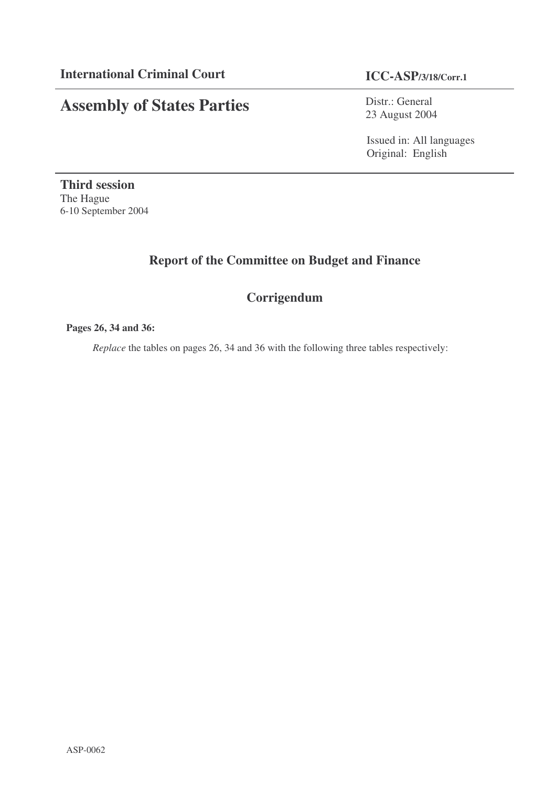# **Assembly of States Parties**

Distr.: General 23 August 2004

Issued in: All languages Original: English

**Third session** The Hague 6-10 September 2004

# **Report of the Committee on Budget and Finance**

# **Corrigendum**

**Pages 26, 34 and 36:**

*Replace* the tables on pages 26, 34 and 36 with the following three tables respectively: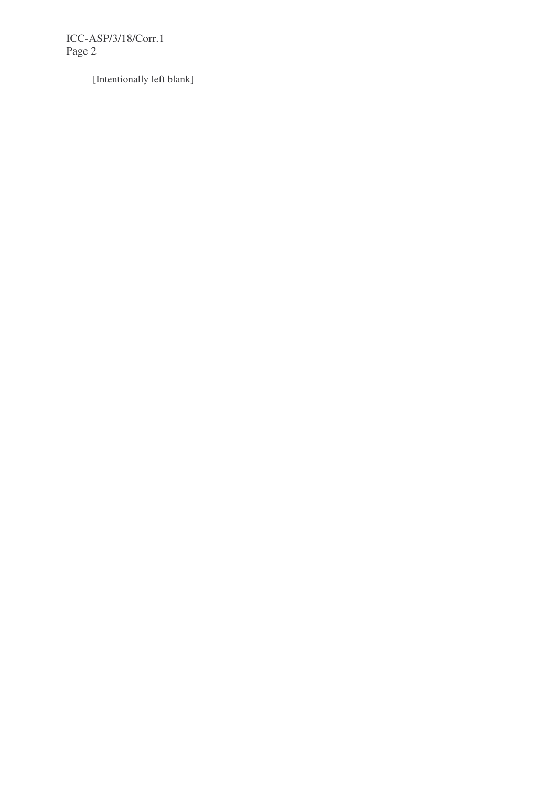ICC-ASP/3/18/Corr.1 Page 2

[Intentionally left blank]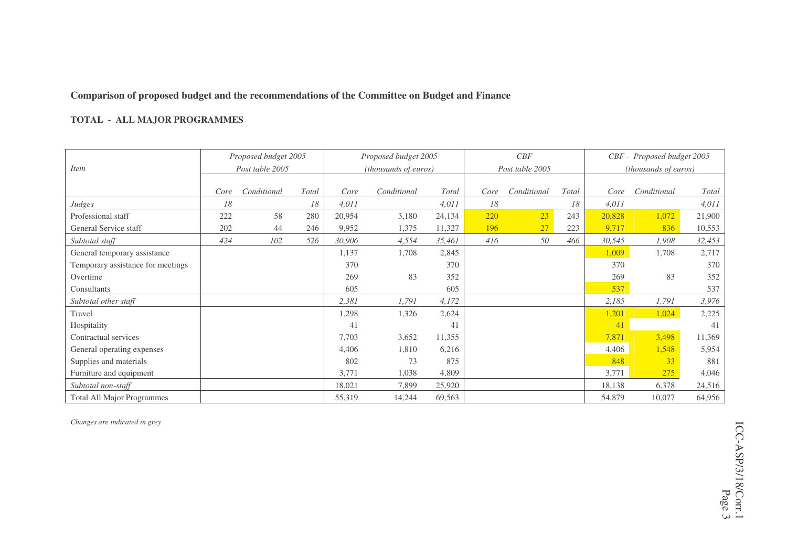## **Comparison of proposed budget and the recommendations of the Committee on Budget and Finance**

#### **TOTAL - ALL MAJOR PROGRAMMES**

|                                   | Proposed budget 2005<br>Post table 2005 |             |       | Proposed budget 2005<br><i>(thousands of euros)</i> |             |        |                 | CBF         |       | CBF - Proposed budget 2005  |             |        |
|-----------------------------------|-----------------------------------------|-------------|-------|-----------------------------------------------------|-------------|--------|-----------------|-------------|-------|-----------------------------|-------------|--------|
| <i>Item</i>                       |                                         |             |       |                                                     |             |        | Post table 2005 |             |       | <i>(thousands of euros)</i> |             |        |
|                                   |                                         |             |       |                                                     |             |        |                 |             |       |                             |             |        |
|                                   | Core                                    | Conditional | Total | Core                                                | Conditional | Total  | Core            | Conditional | Total | Core                        | Conditional | Total  |
| Judges                            | 18                                      |             | 18    | 4,011                                               |             | 4,011  | 18              |             | 18    | 4,011                       |             | 4,011  |
| Professional staff                | 222                                     | 58          | 280   | 20,954                                              | 3,180       | 24,134 | 220             | 23          | 243   | 20,828                      | 1,072       | 21,900 |
| General Service staff             | 202                                     | 44          | 246   | 9,952                                               | 1,375       | 11,327 | 196             | 27          | 223   | 9,717                       | 836         | 10,553 |
| Subtotal staff                    | 424                                     | 102         | 526   | 30,906                                              | 4,554       | 35,461 | 416             | 50          | 466   | 30,545                      | 1,908       | 32,453 |
| General temporary assistance      |                                         |             |       | 1,137                                               | 1,708       | 2,845  |                 |             |       | 1,009                       | 1,708       | 2,717  |
| Temporary assistance for meetings |                                         |             |       | 370                                                 |             | 370    |                 |             |       | 370                         |             | 370    |
| Overtime                          |                                         |             |       | 269                                                 | 83          | 352    |                 |             |       | 269                         | 83          | 352    |
| Consultants                       |                                         |             |       | 605                                                 |             | 605    |                 |             |       | 537                         |             | 537    |
| Subtotal other staff              |                                         |             |       | 2,381                                               | 1,791       | 4,172  |                 |             |       | 2,185                       | 1,791       | 3,976  |
| Travel                            |                                         |             |       | 1,298                                               | 1,326       | 2,624  |                 |             |       | 1,201                       | 1,024       | 2,225  |
| Hospitality                       |                                         |             |       | 41                                                  |             | 41     |                 |             |       | 41                          |             | 41     |
| Contractual services              |                                         |             |       | 7,703                                               | 3,652       | 11,355 |                 |             |       | 7,871                       | 3,498       | 11,369 |
| General operating expenses        |                                         |             |       | 4,406                                               | 1,810       | 6,216  |                 |             |       | 4,406                       | 1,548       | 5,954  |
| Supplies and materials            |                                         |             |       | 802                                                 | 73          | 875    |                 |             |       | 848                         | 33          | 881    |
| Furniture and equipment           |                                         |             |       | 3,771                                               | 1,038       | 4,809  |                 |             |       | 3,771                       | 275         | 4,046  |
| Subtotal non-staff                |                                         |             |       | 18,021                                              | 7,899       | 25,920 |                 |             |       | 18,138                      | 6,378       | 24,516 |
| <b>Total All Major Programmes</b> |                                         |             |       | 55,319                                              | 14,244      | 69,563 |                 |             |       | 54,879                      | 10,077      | 64,956 |

 $\Box$  *Changes are indicated in grey*  $\Box$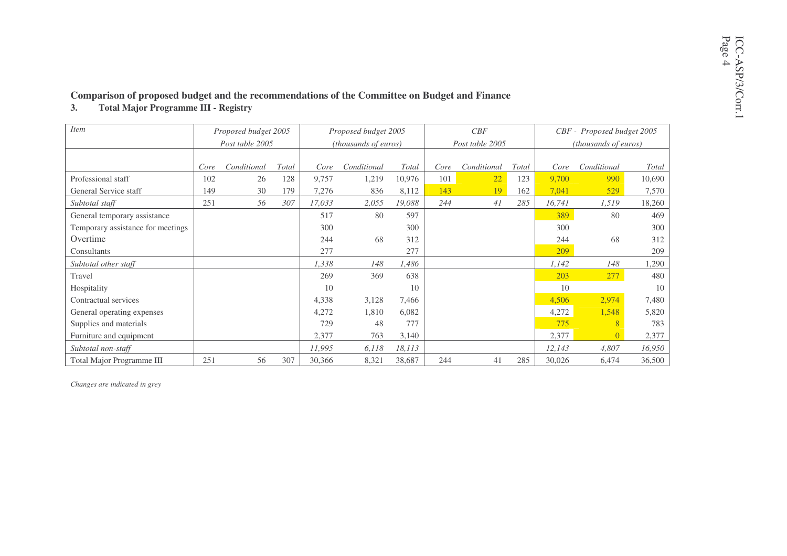## **Comparison of proposed budget and the recommendations of the Committee on Budget and Finance**

#### **3.Total Major Programme III - Registry**

| <b>Item</b>                       | Proposed budget 2005 |             |       | Proposed budget 2005        |             |        |                 | CBF         |       | CBF - Proposed budget 2005    |                |        |
|-----------------------------------|----------------------|-------------|-------|-----------------------------|-------------|--------|-----------------|-------------|-------|-------------------------------|----------------|--------|
|                                   | Post table 2005      |             |       | <i>(thousands of euros)</i> |             |        | Post table 2005 |             |       | ( <i>thousands of euros</i> ) |                |        |
|                                   |                      |             |       |                             |             |        |                 |             |       |                               |                |        |
|                                   | Core                 | Conditional | Total | Core                        | Conditional | Total  | Core            | Conditional | Total | Core                          | Conditional    | Total  |
| Professional staff                | 102                  | 26          | 128   | 9,757                       | 1,219       | 10,976 | 101             | 22          | 123   | 9,700                         | 990            | 10,690 |
| General Service staff             | 149                  | 30          | 179   | 7,276                       | 836         | 8,112  | 143             | 19          | 162   | 7,041                         | 529            | 7,570  |
| Subtotal staff                    | 251                  | 56          | 307   | 17,033                      | 2,055       | 19,088 | 244             | 41          | 285   | 16,741                        | 1,519          | 18,260 |
| General temporary assistance      |                      |             |       | 517                         | 80          | 597    |                 |             |       | 389                           | 80             | 469    |
| Temporary assistance for meetings |                      |             |       | 300                         |             | 300    |                 |             |       | 300                           |                | 300    |
| Overtime                          |                      |             |       | 244                         | 68          | 312    |                 |             |       | 244                           | 68             | 312    |
| Consultants                       |                      |             |       | 277                         |             | 277    |                 |             |       | 209                           |                | 209    |
| Subtotal other staff              |                      |             |       | 1,338                       | 148         | 1,486  |                 |             |       | 1,142                         | 148            | 1,290  |
| Travel                            |                      |             |       | 269                         | 369         | 638    |                 |             |       | 203                           | 277            | 480    |
| Hospitality                       |                      |             |       | 10                          |             | 10     |                 |             |       | 10                            |                | 10     |
| Contractual services              |                      |             |       | 4,338                       | 3,128       | 7,466  |                 |             |       | 4,506                         | 2,974          | 7,480  |
| General operating expenses        |                      |             |       | 4,272                       | 1,810       | 6,082  |                 |             |       | 4,272                         | 1,548          | 5,820  |
| Supplies and materials            |                      |             |       | 729                         | 48          | 777    |                 |             |       | 775                           | 8              | 783    |
| Furniture and equipment           |                      |             |       | 2,377                       | 763         | 3,140  |                 |             |       | 2,377                         | $\overline{0}$ | 2,377  |
| Subtotal non-staff                |                      |             |       | 11,995                      | 6,118       | 18,113 |                 |             |       | 12,143                        | 4,807          | 16,950 |
| Total Major Programme III         | 251                  | 56          | 307   | 30,366                      | 8,321       | 38,687 | 244             | 41          | 285   | 30,026                        | 6,474          | 36,500 |

*Changes are indicated in grey*